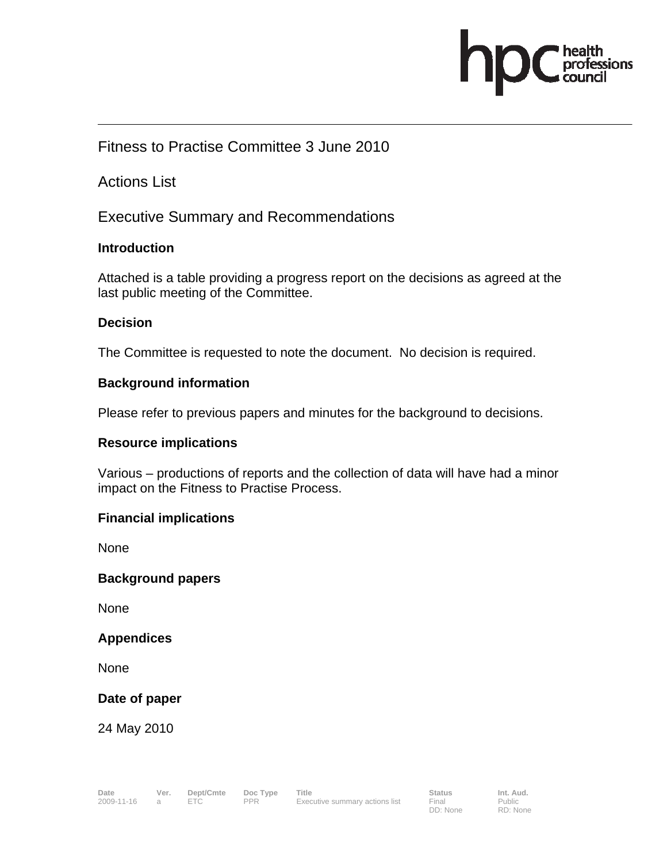

## Fitness to Practise Committee 3 June 2010

Actions List

Executive Summary and Recommendations

#### **Introduction**

Attached is a table providing a progress report on the decisions as agreed at the last public meeting of the Committee.

## **Decision**

The Committee is requested to note the document. No decision is required.

#### **Background information**

Please refer to previous papers and minutes for the background to decisions.

#### **Resource implications**

Various – productions of reports and the collection of data will have had a minor impact on the Fitness to Practise Process.

#### **Financial implications**

None

#### **Background papers**

None

#### **Appendices**

None

## **Date of paper**

24 May 2010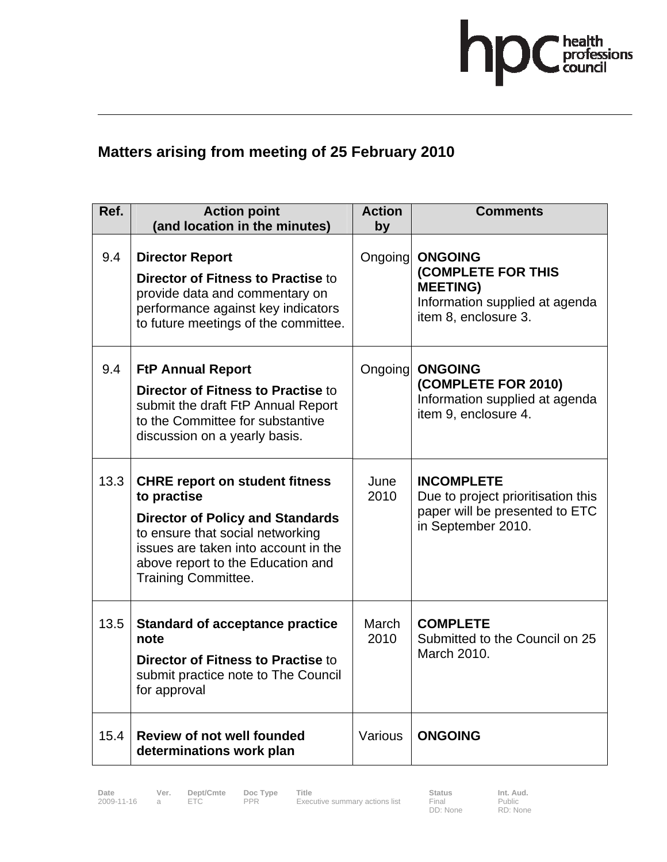

# **Matters arising from meeting of 25 February 2010**

| Ref. | <b>Action point</b><br>(and location in the minutes)                                                                                                                                                                                           | <b>Action</b><br>by | <b>Comments</b>                                                                                                          |
|------|------------------------------------------------------------------------------------------------------------------------------------------------------------------------------------------------------------------------------------------------|---------------------|--------------------------------------------------------------------------------------------------------------------------|
| 9.4  | <b>Director Report</b><br><b>Director of Fitness to Practise to</b><br>provide data and commentary on<br>performance against key indicators<br>to future meetings of the committee.                                                            | Ongoing             | <b>ONGOING</b><br><b>(COMPLETE FOR THIS</b><br><b>MEETING)</b><br>Information supplied at agenda<br>item 8, enclosure 3. |
| 9.4  | <b>FtP Annual Report</b><br><b>Director of Fitness to Practise to</b><br>submit the draft FtP Annual Report<br>to the Committee for substantive<br>discussion on a yearly basis.                                                               | Ongoing             | <b>ONGOING</b><br>(COMPLETE FOR 2010)<br>Information supplied at agenda<br>item 9, enclosure 4.                          |
| 13.3 | <b>CHRE report on student fitness</b><br>to practise<br><b>Director of Policy and Standards</b><br>to ensure that social networking<br>issues are taken into account in the<br>above report to the Education and<br><b>Training Committee.</b> | June<br>2010        | <b>INCOMPLETE</b><br>Due to project prioritisation this<br>paper will be presented to ETC<br>in September 2010.          |
| 13.5 | <b>Standard of acceptance practice</b><br>note<br><b>Director of Fitness to Practise to</b><br>submit practice note to The Council<br>for approval                                                                                             | March<br>2010       | <b>COMPLETE</b><br>Submitted to the Council on 25<br>March 2010.                                                         |
| 15.4 | <b>Review of not well founded</b><br>determinations work plan                                                                                                                                                                                  | Various             | <b>ONGOING</b>                                                                                                           |